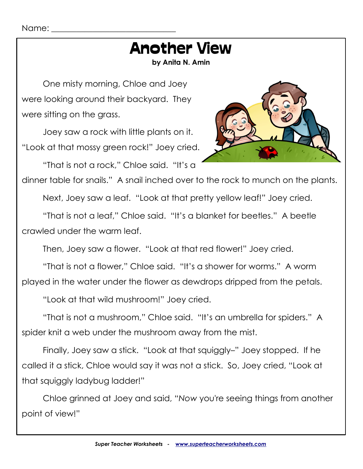# Another View

**by Anita N. Amin**

One misty morning, Chloe and Joey were looking around their backyard. They were sitting on the grass.

Joey saw a rock with little plants on it. "Look at that mossy green rock!" Joey cried.

"That is not a rock," Chloe said. "It's a



dinner table for snails." A snail inched over to the rock to munch on the plants.

Next, Joey saw a leaf. "Look at that pretty yellow leaf!" Joey cried.

"That is not a leaf," Chloe said. "It's a blanket for beetles." A beetle crawled under the warm leaf.

Then, Joey saw a flower. "Look at that red flower!" Joey cried.

"That is not a flower," Chloe said. "It's a shower for worms." A worm played in the water under the flower as dewdrops dripped from the petals.

"Look at that wild mushroom!" Joey cried.

"That is not a mushroom," Chloe said. "It's an umbrella for spiders." A spider knit a web under the mushroom away from the mist.

Finally, Joey saw a stick. "Look at that squiggly–" Joey stopped. If he called it a stick, Chloe would say it was not a stick. So, Joey cried, "Look at that squiggly ladybug ladder!"

Chloe grinned at Joey and said, "*Now* you're seeing things from another point of view!"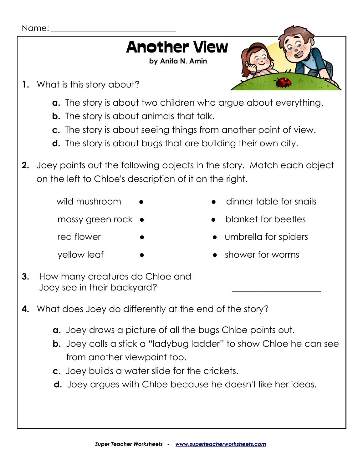### Name: Another View **by Anita N. Amin 1.** What is this story about? **a.** The story is about two children who argue about everything. **b.** The story is about animals that talk. **c.** The story is about seeing things from another point of view. **d.** The story is about bugs that are building their own city. **2.** Joey points out the following objects in the story. Match each object on the left to Chloe's description of it on the right. wild mushroom  $\bullet$  extending the dinner table for snails mossy green rock  $\bullet$  **exercise** blanket for beetles red flower • • • • • • • • • • umbrella for spiders yellow leaf • • • • • • • • • shower for worms **3.** How many creatures do Chloe and Joey see in their backyard? **4.** What does Joey do differently at the end of the story? **a.** Joey draws a picture of all the bugs Chloe points out. **b.** Joey calls a stick a "ladybug ladder" to show Chloe he can see from another viewpoint too. **c.** Joey builds a water slide for the crickets. **d.** Joey argues with Chloe because he doesn't like her ideas.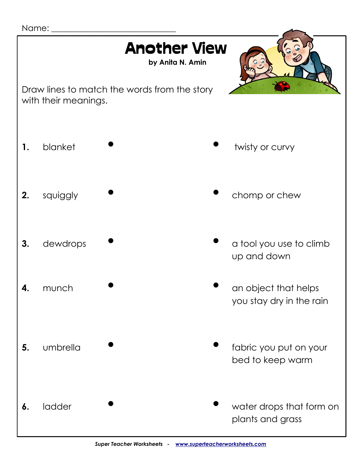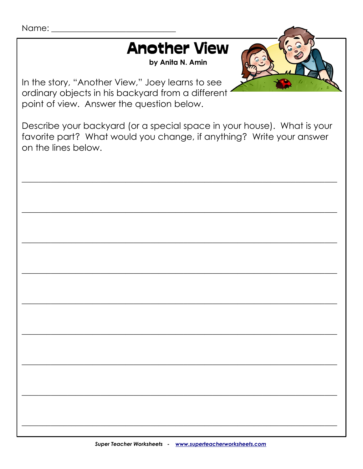## Another View

**by Anita N. Amin**



In the story, "Another View," Joey learns to see ordinary objects in his backyard from a different point of view. Answer the question below.

Describe your backyard (or a special space in your house). What is your favorite part? What would you change, if anything? Write your answer on the lines below.

\_\_\_\_\_\_\_\_\_\_\_\_\_\_\_\_\_\_\_\_\_\_\_\_\_\_\_\_\_\_\_\_\_\_\_\_\_\_\_\_\_\_\_\_\_\_\_\_\_\_\_\_\_\_\_\_\_\_\_\_\_\_\_\_\_\_\_\_\_\_\_\_\_\_\_\_

\_\_\_\_\_\_\_\_\_\_\_\_\_\_\_\_\_\_\_\_\_\_\_\_\_\_\_\_\_\_\_\_\_\_\_\_\_\_\_\_\_\_\_\_\_\_\_\_\_\_\_\_\_\_\_\_\_\_\_\_\_\_\_\_\_\_\_\_\_\_\_\_\_\_\_\_

\_\_\_\_\_\_\_\_\_\_\_\_\_\_\_\_\_\_\_\_\_\_\_\_\_\_\_\_\_\_\_\_\_\_\_\_\_\_\_\_\_\_\_\_\_\_\_\_\_\_\_\_\_\_\_\_\_\_\_\_\_\_\_\_\_\_\_\_\_\_\_\_\_\_\_\_

\_\_\_\_\_\_\_\_\_\_\_\_\_\_\_\_\_\_\_\_\_\_\_\_\_\_\_\_\_\_\_\_\_\_\_\_\_\_\_\_\_\_\_\_\_\_\_\_\_\_\_\_\_\_\_\_\_\_\_\_\_\_\_\_\_\_\_\_\_\_\_\_\_\_\_\_

\_\_\_\_\_\_\_\_\_\_\_\_\_\_\_\_\_\_\_\_\_\_\_\_\_\_\_\_\_\_\_\_\_\_\_\_\_\_\_\_\_\_\_\_\_\_\_\_\_\_\_\_\_\_\_\_\_\_\_\_\_\_\_\_\_\_\_\_\_\_\_\_\_\_\_\_

\_\_\_\_\_\_\_\_\_\_\_\_\_\_\_\_\_\_\_\_\_\_\_\_\_\_\_\_\_\_\_\_\_\_\_\_\_\_\_\_\_\_\_\_\_\_\_\_\_\_\_\_\_\_\_\_\_\_\_\_\_\_\_\_\_\_\_\_\_\_\_\_\_\_\_\_

\_\_\_\_\_\_\_\_\_\_\_\_\_\_\_\_\_\_\_\_\_\_\_\_\_\_\_\_\_\_\_\_\_\_\_\_\_\_\_\_\_\_\_\_\_\_\_\_\_\_\_\_\_\_\_\_\_\_\_\_\_\_\_\_\_\_\_\_\_\_\_\_\_\_\_\_

\_\_\_\_\_\_\_\_\_\_\_\_\_\_\_\_\_\_\_\_\_\_\_\_\_\_\_\_\_\_\_\_\_\_\_\_\_\_\_\_\_\_\_\_\_\_\_\_\_\_\_\_\_\_\_\_\_\_\_\_\_\_\_\_\_\_\_\_\_\_\_\_\_\_\_\_

\_\_\_\_\_\_\_\_\_\_\_\_\_\_\_\_\_\_\_\_\_\_\_\_\_\_\_\_\_\_\_\_\_\_\_\_\_\_\_\_\_\_\_\_\_\_\_\_\_\_\_\_\_\_\_\_\_\_\_\_\_\_\_\_\_\_\_\_\_\_\_\_\_\_\_\_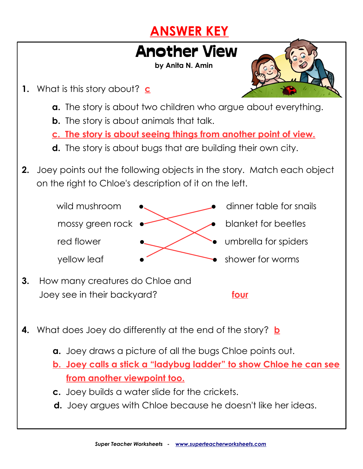#### **ANSWER KEY**

#### Another View

**by Anita N. Amin**

- **1.** What is this story about? **c**
	- **a.** The story is about two children who argue about everything.
	- **b.** The story is about animals that talk.
	- **c. The story is about seeing things from another point of view.**
	- **d.** The story is about bugs that are building their own city.
- **2.** Joey points out the following objects in the story. Match each object on the right to Chloe's description of it on the left.



- wild mushroom  $\bullet$  exercise to the dinner table for snails
	-
	-
- yellow leaf  $\bullet$  be shower for worms
- **3.** How many creatures do Chloe and Joey see in their backyard? **four**

- **4.** What does Joey do differently at the end of the story? **b**
	- **a.** Joey draws a picture of all the bugs Chloe points out.
	- **b. Joey calls a stick a "ladybug ladder" to show Chloe he can see from another viewpoint too.**
	- **c.** Joey builds a water slide for the crickets.
	- **d.** Joey argues with Chloe because he doesn't like her ideas.